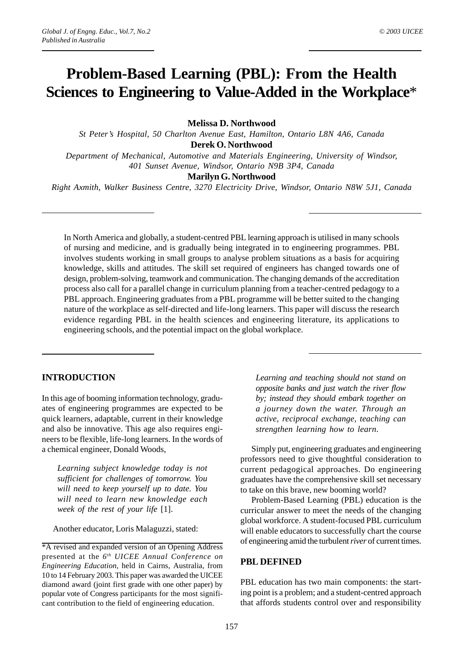# **Problem-Based Learning (PBL): From the Health Sciences to Engineering to Value-Added in the Workplace**\*

#### **Melissa D. Northwood**

*St Peter's Hospital, 50 Charlton Avenue East, Hamilton, Ontario L8N 4A6, Canada* **Derek O. Northwood** *Department of Mechanical, Automotive and Materials Engineering, University of Windsor,*

*401 Sunset Avenue, Windsor, Ontario N9B 3P4, Canada*

#### **Marilyn G. Northwood**

*Right Axmith, Walker Business Centre, 3270 Electricity Drive, Windsor, Ontario N8W 5J1, Canada*

In North America and globally, a student-centred PBL learning approach is utilised in many schools of nursing and medicine, and is gradually being integrated in to engineering programmes. PBL involves students working in small groups to analyse problem situations as a basis for acquiring knowledge, skills and attitudes. The skill set required of engineers has changed towards one of design, problem-solving, teamwork and communication. The changing demands of the accreditation process also call for a parallel change in curriculum planning from a teacher-centred pedagogy to a PBL approach. Engineering graduates from a PBL programme will be better suited to the changing nature of the workplace as self-directed and life-long learners. This paper will discuss the research evidence regarding PBL in the health sciences and engineering literature, its applications to engineering schools, and the potential impact on the global workplace.

### **INTRODUCTION**

In this age of booming information technology, graduates of engineering programmes are expected to be quick learners, adaptable, current in their knowledge and also be innovative. This age also requires engineers to be flexible, life-long learners. In the words of a chemical engineer, Donald Woods,

*Learning subject knowledge today is not sufficient for challenges of tomorrow. You will need to keep yourself up to date. You will need to learn new knowledge each week of the rest of your life* [1].

Another educator, Loris Malaguzzi, stated:

*Learning and teaching should not stand on opposite banks and just watch the river flow by; instead they should embark together on a journey down the water. Through an active, reciprocal exchange, teaching can strengthen learning how to learn*.

Simply put, engineering graduates and engineering professors need to give thoughtful consideration to current pedagogical approaches. Do engineering graduates have the comprehensive skill set necessary to take on this brave, new booming world?

Problem-Based Learning (PBL) education is the curricular answer to meet the needs of the changing global workforce. A student-focused PBL curriculum will enable educators to successfully chart the course of engineering amid the turbulent *river* of current times.

#### **PBL DEFINED**

PBL education has two main components: the starting point is a problem; and a student-centred approach that affords students control over and responsibility

<sup>\*</sup>A revised and expanded version of an Opening Address presented at the *6th UICEE Annual Conference on Engineering Education*, held in Cairns, Australia, from 10 to 14 February 2003. This paper was awarded the UICEE diamond award (joint first grade with one other paper) by popular vote of Congress participants for the most significant contribution to the field of engineering education.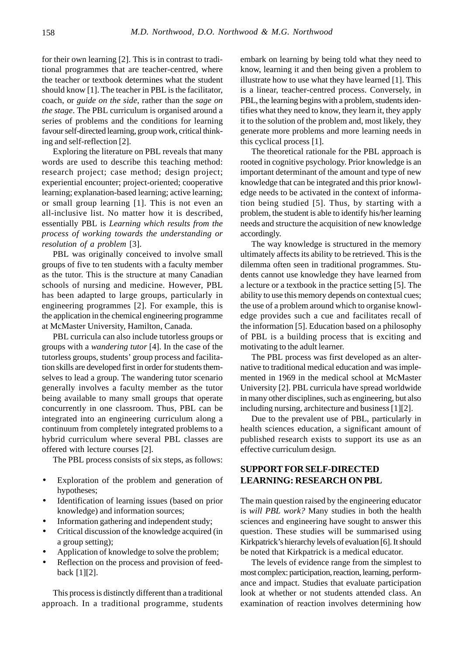for their own learning [2]. This is in contrast to traditional programmes that are teacher-centred, where the teacher or textbook determines what the student should know [1]. The teacher in PBL is the facilitator, coach, or *guide on the side*, rather than the *sage on the stage*. The PBL curriculum is organised around a series of problems and the conditions for learning favour self-directed learning, group work, critical thinking and self-reflection [2].

Exploring the literature on PBL reveals that many words are used to describe this teaching method: research project; case method; design project; experiential encounter; project-oriented; cooperative learning; explanation-based learning; active learning; or small group learning [1]. This is not even an all-inclusive list. No matter how it is described, essentially PBL is *Learning which results from the process of working towards the understanding or resolution of a problem* [3].

PBL was originally conceived to involve small groups of five to ten students with a faculty member as the tutor. This is the structure at many Canadian schools of nursing and medicine. However, PBL has been adapted to large groups, particularly in engineering programmes [2]. For example, this is the application in the chemical engineering programme at McMaster University, Hamilton, Canada.

PBL curricula can also include tutorless groups or groups with a *wandering tutor* [4]. In the case of the tutorless groups, students' group process and facilitation skills are developed first in order for students themselves to lead a group. The wandering tutor scenario generally involves a faculty member as the tutor being available to many small groups that operate concurrently in one classroom. Thus, PBL can be integrated into an engineering curriculum along a continuum from completely integrated problems to a hybrid curriculum where several PBL classes are offered with lecture courses [2].

The PBL process consists of six steps, as follows:

- Exploration of the problem and generation of hypotheses;
- Identification of learning issues (based on prior knowledge) and information sources;
- Information gathering and independent study;
- Critical discussion of the knowledge acquired (in a group setting);
- Application of knowledge to solve the problem;
- Reflection on the process and provision of feedback [1][2].

This process is distinctly different than a traditional approach. In a traditional programme, students embark on learning by being told what they need to know, learning it and then being given a problem to illustrate how to use what they have learned [1]. This is a linear, teacher-centred process. Conversely, in PBL, the learning begins with a problem, students identifies what they need to know, they learn it, they apply it to the solution of the problem and, most likely, they generate more problems and more learning needs in this cyclical process [1].

The theoretical rationale for the PBL approach is rooted in cognitive psychology. Prior knowledge is an important determinant of the amount and type of new knowledge that can be integrated and this prior knowledge needs to be activated in the context of information being studied [5]. Thus, by starting with a problem, the student is able to identify his/her learning needs and structure the acquisition of new knowledge accordingly.

The way knowledge is structured in the memory ultimately affects its ability to be retrieved. This is the dilemma often seen in traditional programmes. Students cannot use knowledge they have learned from a lecture or a textbook in the practice setting [5]. The ability to use this memory depends on contextual cues; the use of a problem around which to organise knowledge provides such a cue and facilitates recall of the information [5]. Education based on a philosophy of PBL is a building process that is exciting and motivating to the adult learner.

The PBL process was first developed as an alternative to traditional medical education and was implemented in 1969 in the medical school at McMaster University [2]. PBL curricula have spread worldwide in many other disciplines, such as engineering, but also including nursing, architecture and business [1][2].

Due to the prevalent use of PBL, particularly in health sciences education, a significant amount of published research exists to support its use as an effective curriculum design.

## **SUPPORT FOR SELF-DIRECTED LEARNING: RESEARCH ON PBL**

The main question raised by the engineering educator is *will PBL work?* Many studies in both the health sciences and engineering have sought to answer this question. These studies will be summarised using Kirkpatrick's hierarchy levels of evaluation [6]. It should be noted that Kirkpatrick is a medical educator.

The levels of evidence range from the simplest to most complex: participation, reaction, learning, performance and impact. Studies that evaluate participation look at whether or not students attended class. An examination of reaction involves determining how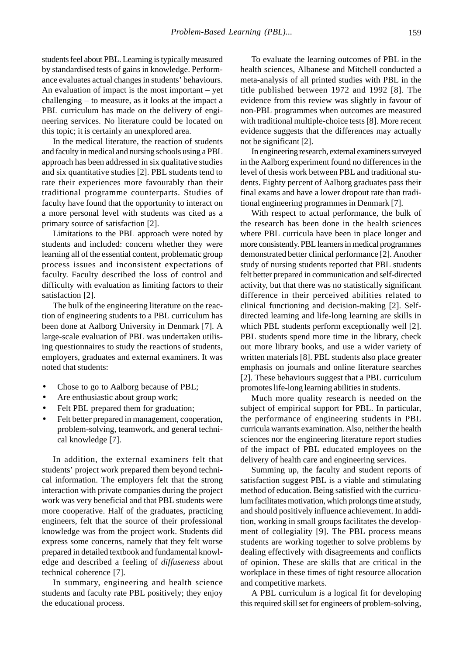students feel about PBL. Learning is typically measured by standardised tests of gains in knowledge. Performance evaluates actual changes in students' behaviours. An evaluation of impact is the most important – yet challenging – to measure, as it looks at the impact a PBL curriculum has made on the delivery of engineering services. No literature could be located on this topic; it is certainly an unexplored area.

In the medical literature, the reaction of students and faculty in medical and nursing schools using a PBL approach has been addressed in six qualitative studies and six quantitative studies [2]. PBL students tend to rate their experiences more favourably than their traditional programme counterparts. Studies of faculty have found that the opportunity to interact on a more personal level with students was cited as a primary source of satisfaction [2].

Limitations to the PBL approach were noted by students and included: concern whether they were learning all of the essential content, problematic group process issues and inconsistent expectations of faculty. Faculty described the loss of control and difficulty with evaluation as limiting factors to their satisfaction [2].

The bulk of the engineering literature on the reaction of engineering students to a PBL curriculum has been done at Aalborg University in Denmark [7]. A large-scale evaluation of PBL was undertaken utilising questionnaires to study the reactions of students, employers, graduates and external examiners. It was noted that students:

- Chose to go to Aalborg because of PBL;
- Are enthusiastic about group work;
- Felt PBL prepared them for graduation;
- Felt better prepared in management, cooperation, problem-solving, teamwork, and general technical knowledge [7].

In addition, the external examiners felt that students' project work prepared them beyond technical information. The employers felt that the strong interaction with private companies during the project work was very beneficial and that PBL students were more cooperative. Half of the graduates, practicing engineers, felt that the source of their professional knowledge was from the project work. Students did express some concerns, namely that they felt worse prepared in detailed textbook and fundamental knowledge and described a feeling of *diffuseness* about technical coherence [7].

In summary, engineering and health science students and faculty rate PBL positively; they enjoy the educational process.

To evaluate the learning outcomes of PBL in the health sciences, Albanese and Mitchell conducted a meta-analysis of all printed studies with PBL in the title published between 1972 and 1992 [8]. The evidence from this review was slightly in favour of non-PBL programmes when outcomes are measured with traditional multiple-choice tests [8]. More recent evidence suggests that the differences may actually not be significant [2].

In engineering research, external examiners surveyed in the Aalborg experiment found no differences in the level of thesis work between PBL and traditional students. Eighty percent of Aalborg graduates pass their final exams and have a lower dropout rate than traditional engineering programmes in Denmark [7].

With respect to actual performance, the bulk of the research has been done in the health sciences where PBL curricula have been in place longer and more consistently. PBL learners in medical programmes demonstrated better clinical performance [2]. Another study of nursing students reported that PBL students felt better prepared in communication and self-directed activity, but that there was no statistically significant difference in their perceived abilities related to clinical functioning and decision-making [2]. Selfdirected learning and life-long learning are skills in which PBL students perform exceptionally well [2]. PBL students spend more time in the library, check out more library books, and use a wider variety of written materials [8]. PBL students also place greater emphasis on journals and online literature searches [2]. These behaviours suggest that a PBL curriculum promotes life-long learning abilities in students.

Much more quality research is needed on the subject of empirical support for PBL. In particular, the performance of engineering students in PBL curricula warrants examination. Also, neither the health sciences nor the engineering literature report studies of the impact of PBL educated employees on the delivery of health care and engineering services.

Summing up, the faculty and student reports of satisfaction suggest PBL is a viable and stimulating method of education. Being satisfied with the curriculum facilitates motivation, which prolongs time at study, and should positively influence achievement. In addition, working in small groups facilitates the development of collegiality [9]. The PBL process means students are working together to solve problems by dealing effectively with disagreements and conflicts of opinion. These are skills that are critical in the workplace in these times of tight resource allocation and competitive markets.

A PBL curriculum is a logical fit for developing this required skill set for engineers of problem-solving,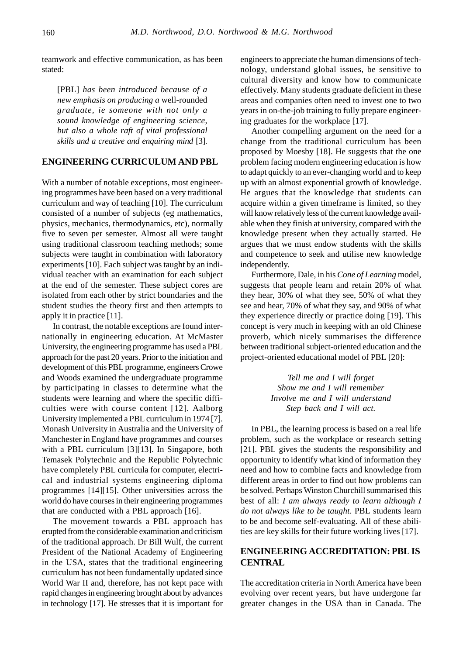teamwork and effective communication, as has been stated:

[PBL] *has been introduced because of a new emphasis on producing a* well-rounded *graduate, ie someone with not only a sound knowledge of engineering science, but also a whole raft of vital professional skills and a creative and enquiring mind* [3].

### **ENGINEERING CURRICULUM AND PBL**

With a number of notable exceptions, most engineering programmes have been based on a very traditional curriculum and way of teaching [10]. The curriculum consisted of a number of subjects (eg mathematics, physics, mechanics, thermodynamics, etc), normally five to seven per semester. Almost all were taught using traditional classroom teaching methods; some subjects were taught in combination with laboratory experiments [10]. Each subject was taught by an individual teacher with an examination for each subject at the end of the semester. These subject cores are isolated from each other by strict boundaries and the student studies the theory first and then attempts to apply it in practice [11].

In contrast, the notable exceptions are found internationally in engineering education. At McMaster University, the engineering programme has used a PBL approach for the past 20 years. Prior to the initiation and development of this PBL programme, engineers Crowe and Woods examined the undergraduate programme by participating in classes to determine what the students were learning and where the specific difficulties were with course content [12]. Aalborg University implemented a PBL curriculum in 1974 [7]. Monash University in Australia and the University of Manchester in England have programmes and courses with a PBL curriculum [3][13]. In Singapore, both Temasek Polytechnic and the Republic Polytechnic have completely PBL curricula for computer, electrical and industrial systems engineering diploma programmes [14][15]. Other universities across the world do have courses in their engineering programmes that are conducted with a PBL approach [16].

The movement towards a PBL approach has erupted from the considerable examination and criticism of the traditional approach. Dr Bill Wulf, the current President of the National Academy of Engineering in the USA, states that the traditional engineering curriculum has not been fundamentally updated since World War II and, therefore, has not kept pace with rapid changes in engineering brought about by advances in technology [17]. He stresses that it is important for engineers to appreciate the human dimensions of technology, understand global issues, be sensitive to cultural diversity and know how to communicate effectively. Many students graduate deficient in these areas and companies often need to invest one to two years in on-the-job training to fully prepare engineering graduates for the workplace [17].

Another compelling argument on the need for a change from the traditional curriculum has been proposed by Moesby [18]. He suggests that the one problem facing modern engineering education is how to adapt quickly to an ever-changing world and to keep up with an almost exponential growth of knowledge. He argues that the knowledge that students can acquire within a given timeframe is limited, so they will know relatively less of the current knowledge available when they finish at university, compared with the knowledge present when they actually started. He argues that we must endow students with the skills and competence to seek and utilise new knowledge independently.

Furthermore, Dale, in his *Cone of Learning* model, suggests that people learn and retain 20% of what they hear, 30% of what they see, 50% of what they see and hear, 70% of what they say, and 90% of what they experience directly or practice doing [19]. This concept is very much in keeping with an old Chinese proverb, which nicely summarises the difference between traditional subject-oriented education and the project-oriented educational model of PBL [20]:

> *Tell me and I will forget Show me and I will remember Involve me and I will understand Step back and I will act.*

In PBL, the learning process is based on a real life problem, such as the workplace or research setting [21]. PBL gives the students the responsibility and opportunity to identify what kind of information they need and how to combine facts and knowledge from different areas in order to find out how problems can be solved. Perhaps Winston Churchill summarised this best of all: *I am always ready to learn although I do not always like to be taught*. PBL students learn to be and become self-evaluating. All of these abilities are key skills for their future working lives [17].

# **ENGINEERING ACCREDITATION: PBL IS CENTRAL**

The accreditation criteria in North America have been evolving over recent years, but have undergone far greater changes in the USA than in Canada. The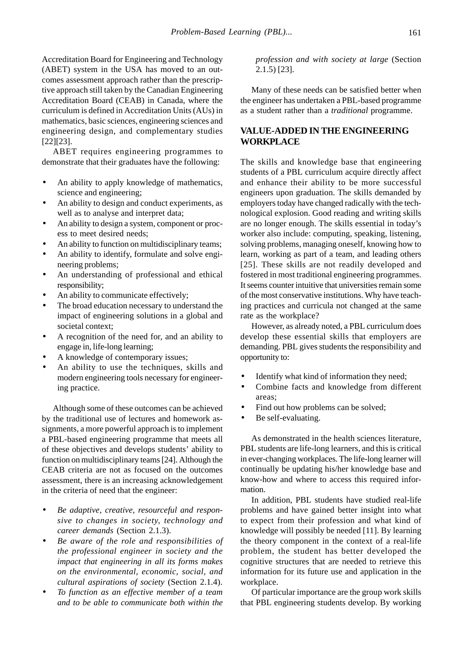Accreditation Board for Engineering and Technology (ABET) system in the USA has moved to an outcomes assessment approach rather than the prescriptive approach still taken by the Canadian Engineering Accreditation Board (CEAB) in Canada, where the curriculum is defined in Accreditation Units (AUs) in mathematics, basic sciences, engineering sciences and engineering design, and complementary studies [22][23].

ABET requires engineering programmes to demonstrate that their graduates have the following:

- An ability to apply knowledge of mathematics, science and engineering;
- An ability to design and conduct experiments, as well as to analyse and interpret data;
- An ability to design a system, component or process to meet desired needs;
- An ability to function on multidisciplinary teams;
- An ability to identify, formulate and solve engineering problems;
- An understanding of professional and ethical responsibility;
- An ability to communicate effectively;
- The broad education necessary to understand the impact of engineering solutions in a global and societal context;
- A recognition of the need for, and an ability to engage in, life-long learning;
- A knowledge of contemporary issues;
- An ability to use the techniques, skills and modern engineering tools necessary for engineering practice.

Although some of these outcomes can be achieved by the traditional use of lectures and homework assignments, a more powerful approach is to implement a PBL-based engineering programme that meets all of these objectives and develops students' ability to function on multidisciplinary teams [24]. Although the CEAB criteria are not as focused on the outcomes assessment, there is an increasing acknowledgement in the criteria of need that the engineer:

- *Be adaptive, creative, resourceful and responsive to changes in society, technology and career demands* (Section 2.1.3).
- *Be aware of the role and responsibilities of the professional engineer in society and the impact that engineering in all its forms makes on the environmental, economic, social, and cultural aspirations of society* (Section 2.1.4).
- *To function as an effective member of a team and to be able to communicate both within the*

*profession and with society at large* (Section 2.1.5) [23].

Many of these needs can be satisfied better when the engineer has undertaken a PBL-based programme as a student rather than a *traditional* programme.

# **VALUE-ADDED IN THE ENGINEERING WORKPLACE**

The skills and knowledge base that engineering students of a PBL curriculum acquire directly affect and enhance their ability to be more successful engineers upon graduation. The skills demanded by employers today have changed radically with the technological explosion. Good reading and writing skills are no longer enough. The skills essential in today's worker also include: computing, speaking, listening, solving problems, managing oneself, knowing how to learn, working as part of a team, and leading others [25]. These skills are not readily developed and fostered in most traditional engineering programmes. It seems counter intuitive that universities remain some of the most conservative institutions. Why have teaching practices and curricula not changed at the same rate as the workplace?

However, as already noted, a PBL curriculum does develop these essential skills that employers are demanding. PBL gives students the responsibility and opportunity to:

- Identify what kind of information they need;
- Combine facts and knowledge from different areas;
- Find out how problems can be solved;
- Be self-evaluating.

As demonstrated in the health sciences literature, PBL students are life-long learners, and this is critical in ever-changing workplaces. The life-long learner will continually be updating his/her knowledge base and know-how and where to access this required information.

In addition, PBL students have studied real-life problems and have gained better insight into what to expect from their profession and what kind of knowledge will possibly be needed [11]. By learning the theory component in the context of a real-life problem, the student has better developed the cognitive structures that are needed to retrieve this information for its future use and application in the workplace.

Of particular importance are the group work skills that PBL engineering students develop. By working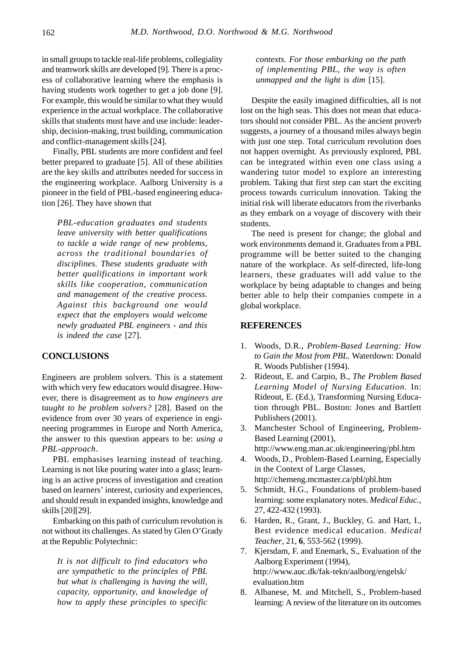in small groups to tackle real-life problems, collegiality and teamwork skills are developed [9]. There is a process of collaborative learning where the emphasis is having students work together to get a job done [9]. For example, this would be similar to what they would experience in the actual workplace. The collaborative skills that students must have and use include: leadership, decision-making, trust building, communication and conflict-management skills [24].

Finally, PBL students are more confident and feel better prepared to graduate [5]. All of these abilities are the key skills and attributes needed for success in the engineering workplace. Aalborg University is a pioneer in the field of PBL-based engineering education [26]. They have shown that

*PBL-education graduates and students leave university with better qualifications to tackle a wide range of new problems, across the traditional boundaries of disciplines. These students graduate with better qualifications in important work skills like cooperation, communication and management of the creative process. Against this background one would expect that the employers would welcome newly graduated PBL engineers - and this is indeed the case* [27].

#### **CONCLUSIONS**

Engineers are problem solvers. This is a statement with which very few educators would disagree. However, there is disagreement as to *how engineers are taught to be problem solvers?* [28]. Based on the evidence from over 30 years of experience in engineering programmes in Europe and North America, the answer to this question appears to be: *using a PBL-approach*.

PBL emphasises learning instead of teaching. Learning is not like pouring water into a glass; learning is an active process of investigation and creation based on learners' interest, curiosity and experiences, and should result in expanded insights, knowledge and skills [20][29].

Embarking on this path of curriculum revolution is not without its challenges. As stated by Glen O'Grady at the Republic Polytechnic:

*It is not difficult to find educators who are sympathetic to the principles of PBL but what is challenging is having the will, capacity, opportunity, and knowledge of how to apply these principles to specific*

*contexts. For those embarking on the path of implementing PBL, the way is often unmapped and the light is dim* [15].

Despite the easily imagined difficulties, all is not lost on the high seas. This does not mean that educators should not consider PBL. As the ancient proverb suggests, a journey of a thousand miles always begin with just one step. Total curriculum revolution does not happen overnight. As previously explored, PBL can be integrated within even one class using a wandering tutor model to explore an interesting problem. Taking that first step can start the exciting process towards curriculum innovation. Taking the initial risk will liberate educators from the riverbanks as they embark on a voyage of discovery with their students.

The need is present for change; the global and work environments demand it. Graduates from a PBL programme will be better suited to the changing nature of the workplace. As self-directed, life-long learners, these graduates will add value to the workplace by being adaptable to changes and being better able to help their companies compete in a global workplace.

#### **REFERENCES**

- 1. Woods, D.R., *Problem-Based Learning: How to Gain the Most from PBL.* Waterdown: Donald R. Woods Publisher (1994).
- 2. Rideout, E. and Carpio, B., *The Problem Based Learning Model of Nursing Education*. In: Rideout, E. (Ed.), Transforming Nursing Education through PBL. Boston: Jones and Bartlett Publishers (2001).
- 3. Manchester School of Engineering, Problem-Based Learning (2001),
- http://www.eng.man.ac.uk/engineering/pbl.htm 4. Woods, D., Problem-Based Learning, Especially in the Context of Large Classes, http://chemeng.mcmaster.ca/pbl/pbl.htm
- 5. Schmidt, H.G., Foundations of problem-based learning: some explanatory notes. *Medical Educ.*, 27, 422-432 (1993).
- 6. Harden, R., Grant, J., Buckley, G. and Hart, I., Best evidence medical education. *Medical Teacher*, 21, **6**, 553-562 (1999).
- 7. Kjersdam, F. and Enemark, S., Evaluation of the Aalborg Experiment (1994), http://www.auc.dk/fak-tekn/aalborg/engelsk/ evaluation.htm
- 8. Albanese, M. and Mitchell, S., Problem-based learning: A review of the literature on its outcomes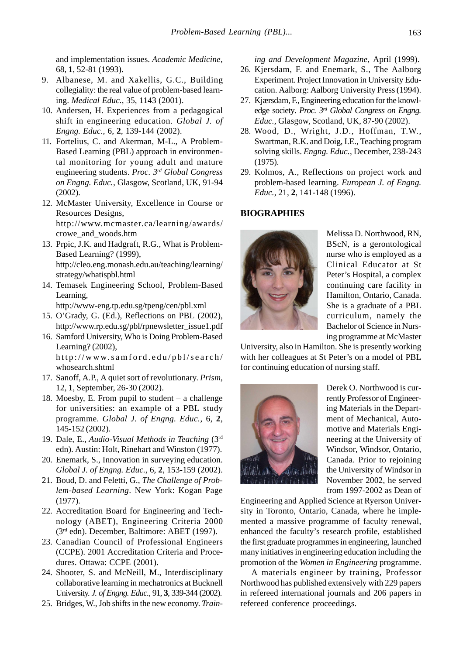and implementation issues. *Academic Medicine*, 68, **1**, 52-81 (1993).

- 9. Albanese, M. and Xakellis, G.C., Building collegiality: the real value of problem-based learning. *Medical Educ.*, 35, 1143 (2001).
- 10. Andersen, H. Experiences from a pedagogical shift in engineering education. *Global J. of Engng. Educ.*, 6, **2**, 139-144 (2002).
- 11. Fortelius, C. and Akerman, M-L., A Problem-Based Learning (PBL) approach in environmental monitoring for young adult and mature engineering students. *Proc. 3rd Global Congress on Engng. Educ.*, Glasgow, Scotland, UK, 91-94 (2002).
- 12. McMaster University, Excellence in Course or Resources Designs, http://www.mcmaster.ca/learning/awards/ crowe\_and\_woods.htm
- 13. Prpic, J.K. and Hadgraft, R.G., What is Problem-Based Learning? (1999), http://cleo.eng.monash.edu.au/teaching/learning/ strategy/whatispbl.html
- 14. Temasek Engineering School, Problem-Based Learning,

http://www-eng.tp.edu.sg/tpeng/cen/pbl.xml

- 15. O'Grady, G. (Ed.), Reflections on PBL (2002), http://www.rp.edu.sg/pbl/rpnewsletter\_issue1.pdf
- 16. Samford University, Who is Doing Problem-Based Learning? (2002), http://www.samford.edu/pbl/search/ whosearch.shtml
- 17. Sanoff, A.P., A quiet sort of revolutionary. *Prism*, 12, **1**, September, 26-30 (2002).
- 18. Moesby, E. From pupil to student a challenge for universities: an example of a PBL study programme. *Global J. of Engng. Educ.*, 6, **2**, 145-152 (2002).
- 19. Dale, E., *Audio-Visual Methods in Teaching* (3rd edn). Austin: Holt, Rinehart and Winston (1977).
- 20. Enemark, S., Innovation in surveying education. *Global J. of Engng. Educ.*, 6, **2**, 153-159 (2002).
- 21. Boud, D. and Feletti, G., *The Challenge of Problem-based Learning*. New York: Kogan Page (1977).
- 22. Accreditation Board for Engineering and Technology (ABET), Engineering Criteria 2000 (3rd edn). December, Baltimore: ABET (1997).
- 23. Canadian Council of Professional Engineers (CCPE). 2001 Accreditation Criteria and Procedures. Ottawa: CCPE (2001).
- 24. Shooter, S. and McNeill, M., Interdisciplinary collaborative learning in mechatronics at Bucknell University. *J. of Engng. Educ.*, 91, **3**, 339-344 (2002).
- 25. Bridges, W., Job shifts in the new economy. *Train-*

*ing and Development Magazine*, April (1999).

- 26. Kjersdam, F. and Enemark, S., The Aalborg Experiment. Project Innovation in University Education. Aalborg: Aalborg University Press (1994).
- 27. Kjærsdam, F., Engineering education for the knowledge society*. Proc. 3rd Global Congress on Engng. Educ.*, Glasgow, Scotland, UK, 87-90 (2002).
- 28. Wood, D., Wright, J.D., Hoffman, T.W., Swartman, R.K. and Doig, I.E., Teaching program solving skills. *Engng. Educ.*, December, 238-243 (1975).
- 29. Kolmos, A., Reflections on project work and problem-based learning. *European J. of Engng. Educ.*, 21, **2**, 141-148 (1996).

## **BIOGRAPHIES**



Melissa D. Northwood, RN, BScN, is a gerontological nurse who is employed as a Clinical Educator at St Peter's Hospital, a complex continuing care facility in Hamilton, Ontario, Canada. She is a graduate of a PBL curriculum, namely the Bachelor of Science in Nursing programme at McMaster

University, also in Hamilton. She is presently working with her colleagues at St Peter's on a model of PBL for continuing education of nursing staff.



Derek O. Northwood is currently Professor of Engineering Materials in the Department of Mechanical, Automotive and Materials Engineering at the University of Windsor, Windsor, Ontario, Canada. Prior to rejoining the University of Windsor in November 2002, he served from 1997-2002 as Dean of

Engineering and Applied Science at Ryerson University in Toronto, Ontario, Canada, where he implemented a massive programme of faculty renewal, enhanced the faculty's research profile, established the first graduate programmes in engineering, launched many initiatives in engineering education including the promotion of the *Women in Engineering* programme.

A materials engineer by training, Professor Northwood has published extensively with 229 papers in refereed international journals and 206 papers in refereed conference proceedings.